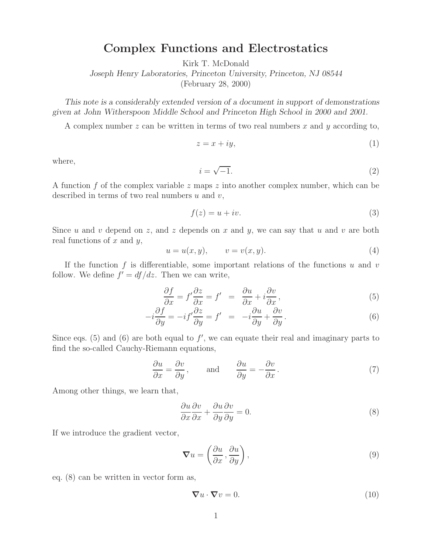## **Complex Functions and Electrostatics**

Kirk T. McDonald

*Joseph Henry Laboratories, Princeton University, Princeton, NJ 08544*

(February 28, 2000)

*This note is a considerably extended version of a document in support of demonstrations given at John Witherspoon Middle School and Princeton High School in 2000 and 2001.*

A complex number  $z$  can be written in terms of two real numbers  $x$  and  $y$  according to,

$$
z = x + iy,\tag{1}
$$

where,

$$
i = \sqrt{-1}.\tag{2}
$$

A function f of the complex variable z maps z into another complex number, which can be described in terms of two real numbers  $u$  and  $v$ ,

$$
f(z) = u + iv.
$$
 (3)

Since u and v depend on z, and z depends on x and y, we can say that u and v are both real functions of  $x$  and  $y$ ,

$$
u = u(x, y), \qquad v = v(x, y). \tag{4}
$$

If the function f is differentiable, some important relations of the functions  $u$  and  $v$ follow. We define  $f' = df/dz$ . Then we can write,

$$
\frac{\partial f}{\partial x} = f' \frac{\partial z}{\partial x} = f' = \frac{\partial u}{\partial x} + i \frac{\partial v}{\partial x},\tag{5}
$$

$$
-i\frac{\partial f}{\partial y} = -if'\frac{\partial z}{\partial y} = f' = -i\frac{\partial u}{\partial y} + \frac{\partial v}{\partial y}.
$$
 (6)

Since eqs. (5) and (6) are both equal to  $f'$ , we can equate their real and imaginary parts to find the so-called Cauchy-Riemann equations,

$$
\frac{\partial u}{\partial x} = \frac{\partial v}{\partial y}, \quad \text{and} \quad \frac{\partial u}{\partial y} = -\frac{\partial v}{\partial x}.
$$
 (7)

Among other things, we learn that,

$$
\frac{\partial u}{\partial x}\frac{\partial v}{\partial x} + \frac{\partial u}{\partial y}\frac{\partial v}{\partial y} = 0.
$$
\n(8)

If we introduce the gradient vector,

$$
\nabla u = \left(\frac{\partial u}{\partial x}, \frac{\partial u}{\partial y}\right),\tag{9}
$$

eq. (8) can be written in vector form as,

$$
\nabla u \cdot \nabla v = 0. \tag{10}
$$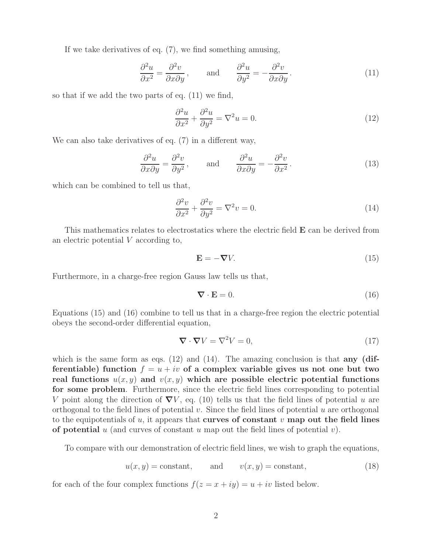If we take derivatives of eq. (7), we find something amusing,

$$
\frac{\partial^2 u}{\partial x^2} = \frac{\partial^2 v}{\partial x \partial y}, \quad \text{and} \quad \frac{\partial^2 u}{\partial y^2} = -\frac{\partial^2 v}{\partial x \partial y}.
$$
 (11)

so that if we add the two parts of eq. (11) we find,

$$
\frac{\partial^2 u}{\partial x^2} + \frac{\partial^2 u}{\partial y^2} = \nabla^2 u = 0.
$$
\n(12)

We can also take derivatives of eq. (7) in a different way,

$$
\frac{\partial^2 u}{\partial x \partial y} = \frac{\partial^2 v}{\partial y^2}, \quad \text{and} \quad \frac{\partial^2 u}{\partial x \partial y} = -\frac{\partial^2 v}{\partial x^2}.
$$
 (13)

which can be combined to tell us that,

$$
\frac{\partial^2 v}{\partial x^2} + \frac{\partial^2 v}{\partial y^2} = \nabla^2 v = 0.
$$
\n(14)

This mathematics relates to electrostatics where the electric field **E** can be derived from an electric potential V according to,

$$
\mathbf{E} = -\nabla V. \tag{15}
$$

Furthermore, in a charge-free region Gauss law tells us that,

$$
\nabla \cdot \mathbf{E} = 0. \tag{16}
$$

Equations (15) and (16) combine to tell us that in a charge-free region the electric potential obeys the second-order differential equation,

$$
\nabla \cdot \nabla V = \nabla^2 V = 0,\tag{17}
$$

which is the same form as eqs. (12) and (14). The amazing conclusion is that **any** (dif**ferentiable)** function  $f = u + iv$  of a complex variable gives us not one but two **real functions**  $u(x, y)$  and  $v(x, y)$  which are possible electric potential functions **for some problem**. Furthermore, since the electric field lines corresponding to potential V point along the direction of  $\nabla V$ , eq. (10) tells us that the field lines of potential u are orthogonal to the field lines of potential  $v$ . Since the field lines of potential  $u$  are orthogonal to the equipotentials of u, it appears that **curves of constant** v **map out the field lines of potential** u (and curves of constant u map out the field lines of potential v).

To compare with our demonstration of electric field lines, we wish to graph the equations,

$$
u(x, y) = \text{constant}, \qquad \text{and} \qquad v(x, y) = \text{constant}, \tag{18}
$$

for each of the four complex functions  $f(z = x + iy) = u + iv$  listed below.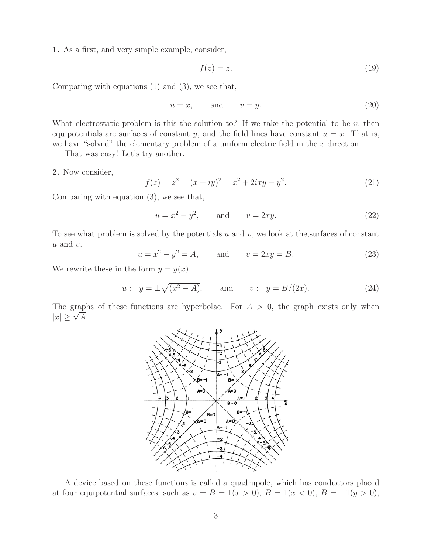**1.** As a first, and very simple example, consider,

$$
f(z) = z.\tag{19}
$$

Comparing with equations (1) and (3), we see that,

$$
u = x, \qquad \text{and} \qquad v = y. \tag{20}
$$

What electrostatic problem is this the solution to? If we take the potential to be  $v$ , then equipotentials are surfaces of constant y, and the field lines have constant  $u = x$ . That is, we have "solved" the elementary problem of a uniform electric field in the  $x$  direction.

That was easy! Let's try another.

**2.** Now consider,

$$
f(z) = z2 = (x + iy)2 = x2 + 2ixy - y2.
$$
 (21)

Comparing with equation (3), we see that,

$$
u = x^2 - y^2
$$
, and  $v = 2xy$ . (22)

To see what problem is solved by the potentials u and v, we look at the, surfaces of constant  $u$  and  $v$ .

$$
u = x2 - y2 = A
$$
, and  $v = 2xy = B$ . (23)

We rewrite these in the form  $y = y(x)$ ,

$$
u: y = \pm \sqrt{(x^2 - A)},
$$
 and  $v: y = B/(2x).$  (24)

The graphs of these functions are hyperbolae. For  $A > 0$ , the graph exists only when  $|x| \geq \sqrt{A}$ .



A device based on these functions is called a quadrupole, which has conductors placed at four equipotential surfaces, such as  $v = B = 1(x > 0)$ ,  $B = 1(x < 0)$ ,  $B = -1(y > 0)$ ,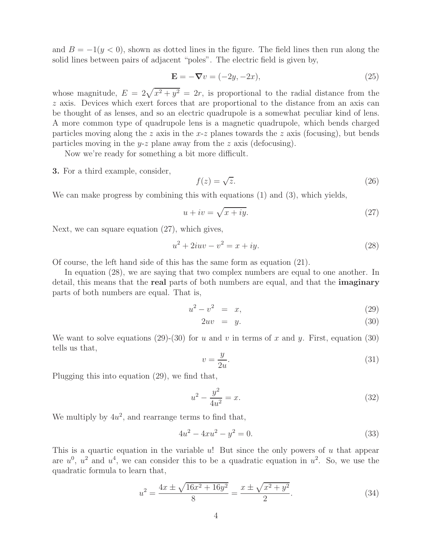and  $B = -1(y < 0)$ , shown as dotted lines in the figure. The field lines then run along the solid lines between pairs of adjacent "poles". The electric field is given by,

$$
\mathbf{E} = -\nabla v = (-2y, -2x),\tag{25}
$$

whose magnitude,  $E = 2\sqrt{x^2 + y^2} = 2r$ , is proportional to the radial distance from the z axis. Devices which exert forces that are proportional to the distance from an axis can be thought of as lenses, and so an electric quadrupole is a somewhat peculiar kind of lens. A more common type of quadrupole lens is a magnetic quadrupole, which bends charged particles moving along the z axis in the  $x-z$  planes towards the z axis (focusing), but bends particles moving in the y-z plane away from the z axis (defocusing).

Now we're ready for something a bit more difficult.

**3.** For a third example, consider,

$$
f(z) = \sqrt{z}.\tag{26}
$$

We can make progress by combining this with equations (1) and (3), which yields,

$$
u + iv = \sqrt{x + iy}.\tag{27}
$$

Next, we can square equation (27), which gives,

$$
u^2 + 2iuv - v^2 = x + iy.
$$
 (28)

Of course, the left hand side of this has the same form as equation (21).

In equation (28), we are saying that two complex numbers are equal to one another. In detail, this means that the **real** parts of both numbers are equal, and that the **imaginary** parts of both numbers are equal. That is,

$$
u^2 - v^2 = x,\t\t(29)
$$

$$
2uv = y. \t\t(30)
$$

We want to solve equations (29)-(30) for u and v in terms of x and y. First, equation (30) tells us that,

$$
v = \frac{y}{2u}.\tag{31}
$$

Plugging this into equation (29), we find that,

$$
u^2 - \frac{y^2}{4u^2} = x.\tag{32}
$$

We multiply by  $4u^2$ , and rearrange terms to find that,

$$
4u^2 - 4xu^2 - y^2 = 0.\t\t(33)
$$

This is a quartic equation in the variable  $u$ ! But since the only powers of  $u$  that appear are  $u^0$ ,  $u^2$  and  $u^4$ , we can consider this to be a quadratic equation in  $u^2$ . So, we use the quadratic formula to learn that,

$$
u^{2} = \frac{4x \pm \sqrt{16x^{2} + 16y^{2}}}{8} = \frac{x \pm \sqrt{x^{2} + y^{2}}}{2}.
$$
 (34)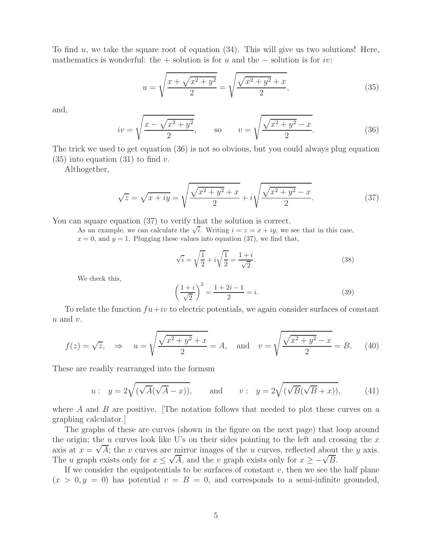To find  $u$ , we take the square root of equation  $(34)$ . This will give us two solutions! Here, mathematics is wonderful: the + solution is for u and the  $-$  solution is for iv:

$$
u = \sqrt{\frac{x + \sqrt{x^2 + y^2}}{2}} = \sqrt{\frac{\sqrt{x^2 + y^2} + x}{2}},
$$
\n(35)

and,

$$
iv = \sqrt{\frac{x - \sqrt{x^2 + y^2}}{2}},
$$
 so  $v = \sqrt{\frac{\sqrt{x^2 + y^2} - x}{2}}.$  (36)

The trick we used to get equation (36) is not so obvious, but you could always plug equation  $(35)$  into equation  $(31)$  to find v.

Althogether,

$$
\sqrt{z} = \sqrt{x + iy} = \sqrt{\frac{\sqrt{x^2 + y^2} + x}{2}} + i\sqrt{\frac{\sqrt{x^2 + y^2} - x}{2}}.
$$
 (37)

You can square equation (37) to verify that the solution is correct.

As an example, we can calculate the  $\sqrt{i}$ . Writing  $i = z = x + iy$ , we see that in this case,  $x = 0$ , and  $y = 1$ . Plugging these values into equation (37), we find that,

$$
\sqrt{i} = \sqrt{\frac{1}{2}} + i\sqrt{\frac{1}{2}} = \frac{1+i}{\sqrt{2}}.
$$
\n(38)

We check this,

$$
\left(\frac{1+i}{\sqrt{2}}\right)^2 = \frac{1+2i-1}{2} = i.
$$
\n(39)

To relate the function  $fu+iv$  to electric potentials, we again consider surfaces of constant  $u$  and  $v$ .

$$
f(z) = \sqrt{z}, \Rightarrow u = \sqrt{\frac{\sqrt{x^2 + y^2} + x}{2}} = A, \text{ and } v = \sqrt{\frac{\sqrt{x^2 + y^2} - x}{2}} = B.
$$
 (40)

These are readily rearranged into the formsm

$$
u: y = 2\sqrt{(\sqrt{A}(\sqrt{A} - x))}, \quad \text{and} \quad v: y = 2\sqrt{(\sqrt{B}(\sqrt{B} + x))}, \quad (41)
$$

where  $A$  and  $B$  are positive. The notation follows that needed to plot these curves on a graphing calculator.]

The graphs of these are curves (shown in the figure on the next page) that loop around the origin; the u curves look like U's on their sides pointing to the left and crossing the  $x$ axis at  $x = \sqrt{A}$ ; the v curves are mirror images of the u curves, reflected about the y axis. The u graph exists only for  $x \le \sqrt{A}$ , and the v graph exists only for  $x \ge -\sqrt{B}$ .

If we consider the equipotentials to be surfaces of constant  $v$ , then we see the half plane  $(x > 0, y = 0)$  has potential  $v = B = 0$ , and corresponds to a semi-infinite grounded,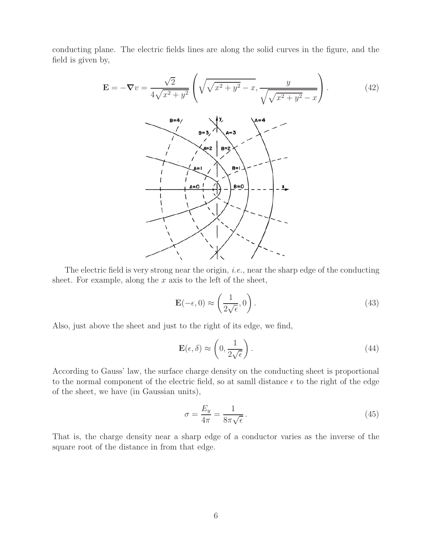conducting plane. The electric fields lines are along the solid curves in the figure, and the field is given by,

$$
\mathbf{E} = -\nabla v = \frac{\sqrt{2}}{4\sqrt{x^2 + y^2}} \left( \sqrt{\sqrt{x^2 + y^2} - x}, \frac{y}{\sqrt{\sqrt{x^2 + y^2} - x}} \right).
$$
(42)

The electric field is very strong near the origin, *i.e.*, near the sharp edge of the conducting sheet. For example, along the  $x$  axis to the left of the sheet,

$$
\mathbf{E}(-\epsilon,0) \approx \left(\frac{1}{2\sqrt{\epsilon}},0\right). \tag{43}
$$

Also, just above the sheet and just to the right of its edge, we find,

$$
\mathbf{E}(\epsilon,\delta) \approx \left(0, \frac{1}{2\sqrt{\epsilon}}\right). \tag{44}
$$

According to Gauss' law, the surface charge density on the conducting sheet is proportional to the normal component of the electric field, so at samll distance  $\epsilon$  to the right of the edge of the sheet, we have (in Gaussian units),

$$
\sigma = \frac{E_y}{4\pi} = \frac{1}{8\pi\sqrt{\epsilon}}\,. \tag{45}
$$

That is, the charge density near a sharp edge of a conductor varies as the inverse of the square root of the distance in from that edge.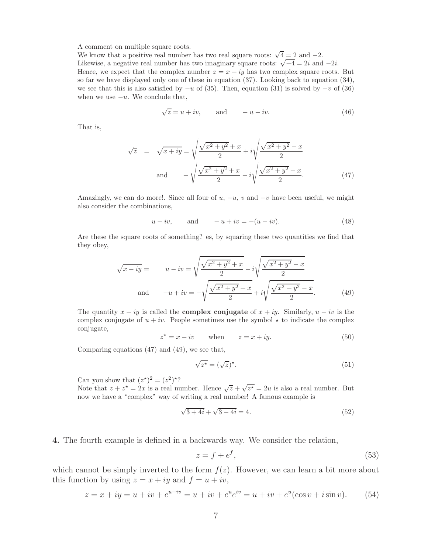A comment on multiple square roots.

We know that a positive real number has two real square roots:  $\sqrt{4} = 2$  and  $-2$ . Likewise, a negative real number has two imaginary square roots:  $\sqrt{-4} = 2i$  and  $-2i$ . Hence, we expect that the complex number  $z = x + iy$  has two complex square roots. But so far we have displayed only one of these in equation (37). Looking back to equation (34), we see that this is also satisfied by  $-u$  of (35). Then, equation (31) is solved by  $-v$  of (36) when we use  $-u$ . We conclude that,

$$
\sqrt{z} = u + iv, \qquad \text{and} \qquad -u - iv. \tag{46}
$$

That is,

$$
\sqrt{z} = \sqrt{x+iy} = \sqrt{\frac{\sqrt{x^2+y^2}+x}{2}} + i\sqrt{\frac{\sqrt{x^2+y^2}-x}{2}}
$$
  
and 
$$
-\sqrt{\frac{\sqrt{x^2+y^2}+x}{2}} - i\sqrt{\frac{\sqrt{x^2+y^2}-x}{2}}.
$$
 (47)

Amazingly, we can do more!. Since all four of u,  $-u$ , v and  $-v$  have been useful, we might also consider the combinations,

$$
u - iv
$$
, and  $-u + iv = -(u - iv)$ . (48)

Are these the square roots of something? es, by squaring these two quantities we find that they obey,

$$
\sqrt{x - iy} = u - iv = \sqrt{\frac{\sqrt{x^2 + y^2} + x}{2}} - i\sqrt{\frac{\sqrt{x^2 + y^2} - x}{2}}
$$
  
and 
$$
-u + iv = -\sqrt{\frac{\sqrt{x^2 + y^2} + x}{2}} + i\sqrt{\frac{\sqrt{x^2 + y^2} - x}{2}}.
$$
 (49)

The quantity  $x - iy$  is called the **complex conjugate** of  $x + iy$ . Similarly,  $u - iv$  is the complex conjugate of  $u + iv$ . People sometimes use the symbol  $\star$  to indicate the complex conjugate,

$$
z^* = x - iv \qquad \text{when} \qquad z = x + iy. \tag{50}
$$

Comparing equations (47) and (49), we see that,

$$
\sqrt{z^*} = (\sqrt{z})^*.
$$
\n(51)

Can you show that  $(z^*)^2 = (z^2)^*$ ?

Note that  $z + z^* = 2x$  is a real number. Hence  $\sqrt{z} + \sqrt{z^*} = 2u$  is also a real number. But now we have a "complex" way of writing a real number! A famous example is

$$
\sqrt{3+4i} + \sqrt{3-4i} = 4.
$$
\n(52)

**4.** The fourth example is defined in a backwards way. We consider the relation,

$$
z = f + e^f,\tag{53}
$$

which cannot be simply inverted to the form  $f(z)$ . However, we can learn a bit more about this function by using  $z = x + iy$  and  $f = u + iv$ ,

$$
z = x + iy = u + iv + e^{u + iv} = u + iv + e^u e^{iv} = u + iv + e^u (\cos v + i \sin v).
$$
 (54)